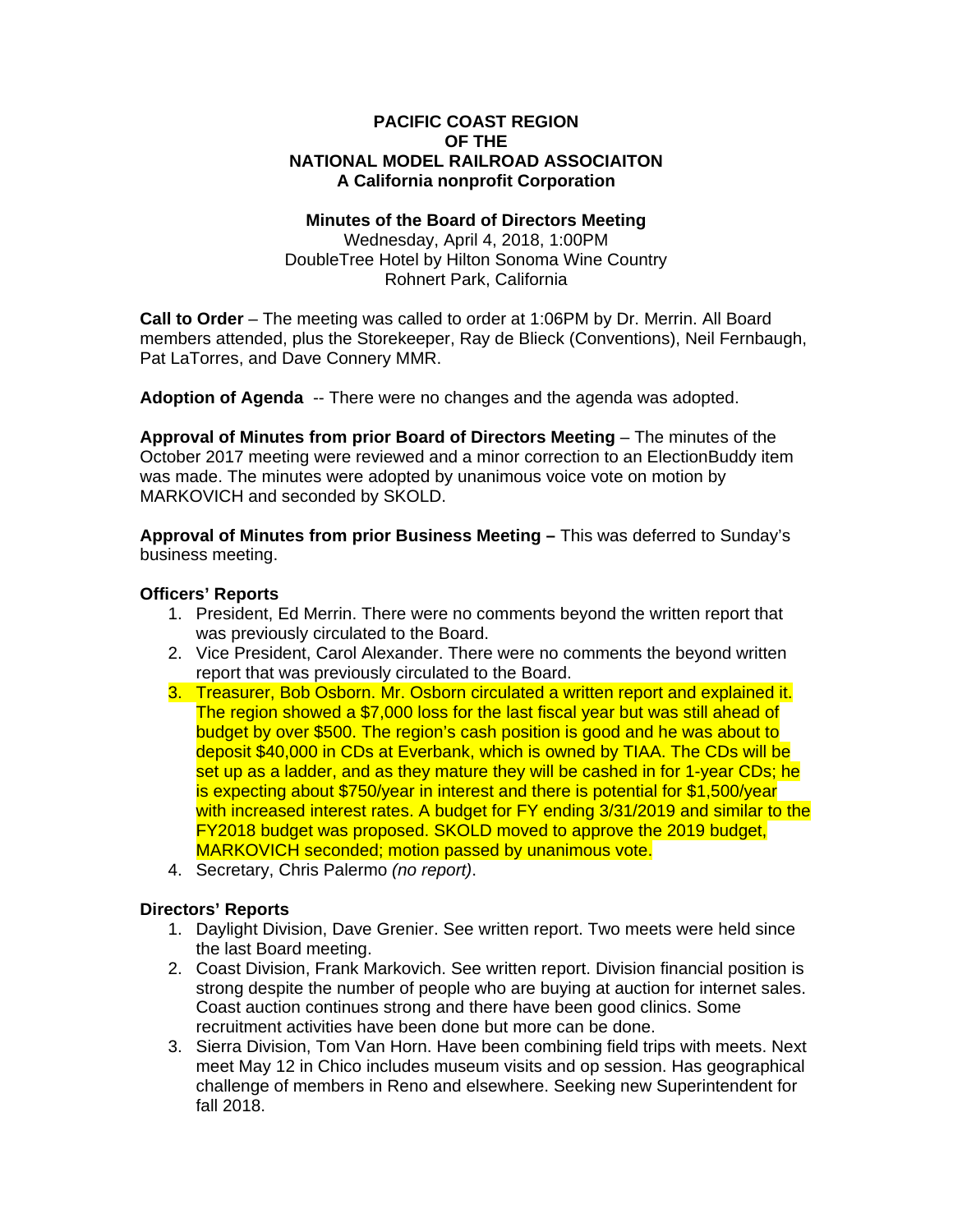### **PACIFIC COAST REGION OF THE NATIONAL MODEL RAILROAD ASSOCIAITON A California nonprofit Corporation**

### **Minutes of the Board of Directors Meeting**

Wednesday, April 4, 2018, 1:00PM DoubleTree Hotel by Hilton Sonoma Wine Country Rohnert Park, California

**Call to Order** – The meeting was called to order at 1:06PM by Dr. Merrin. All Board members attended, plus the Storekeeper, Ray de Blieck (Conventions), Neil Fernbaugh, Pat LaTorres, and Dave Connery MMR.

**Adoption of Agenda** -- There were no changes and the agenda was adopted.

**Approval of Minutes from prior Board of Directors Meeting** – The minutes of the October 2017 meeting were reviewed and a minor correction to an ElectionBuddy item was made. The minutes were adopted by unanimous voice vote on motion by MARKOVICH and seconded by SKOLD.

**Approval of Minutes from prior Business Meeting –** This was deferred to Sunday's business meeting.

### **Officers' Reports**

- 1. President, Ed Merrin. There were no comments beyond the written report that was previously circulated to the Board.
- 2. Vice President, Carol Alexander. There were no comments the beyond written report that was previously circulated to the Board.
- 3. Treasurer, Bob Osborn. Mr. Osborn circulated a written report and explained it. The region showed a \$7,000 loss for the last fiscal year but was still ahead of budget by over \$500. The region's cash position is good and he was about to deposit \$40,000 in CDs at Everbank, which is owned by TIAA. The CDs will be set up as a ladder, and as they mature they will be cashed in for 1-year CDs; he is expecting about \$750/year in interest and there is potential for \$1,500/year with increased interest rates. A budget for FY ending 3/31/2019 and similar to the FY2018 budget was proposed. SKOLD moved to approve the 2019 budget, MARKOVICH seconded; motion passed by unanimous vote.
- 4. Secretary, Chris Palermo *(no report)*.

### **Directors' Reports**

- 1. Daylight Division, Dave Grenier. See written report. Two meets were held since the last Board meeting.
- 2. Coast Division, Frank Markovich. See written report. Division financial position is strong despite the number of people who are buying at auction for internet sales. Coast auction continues strong and there have been good clinics. Some recruitment activities have been done but more can be done.
- 3. Sierra Division, Tom Van Horn. Have been combining field trips with meets. Next meet May 12 in Chico includes museum visits and op session. Has geographical challenge of members in Reno and elsewhere. Seeking new Superintendent for fall 2018.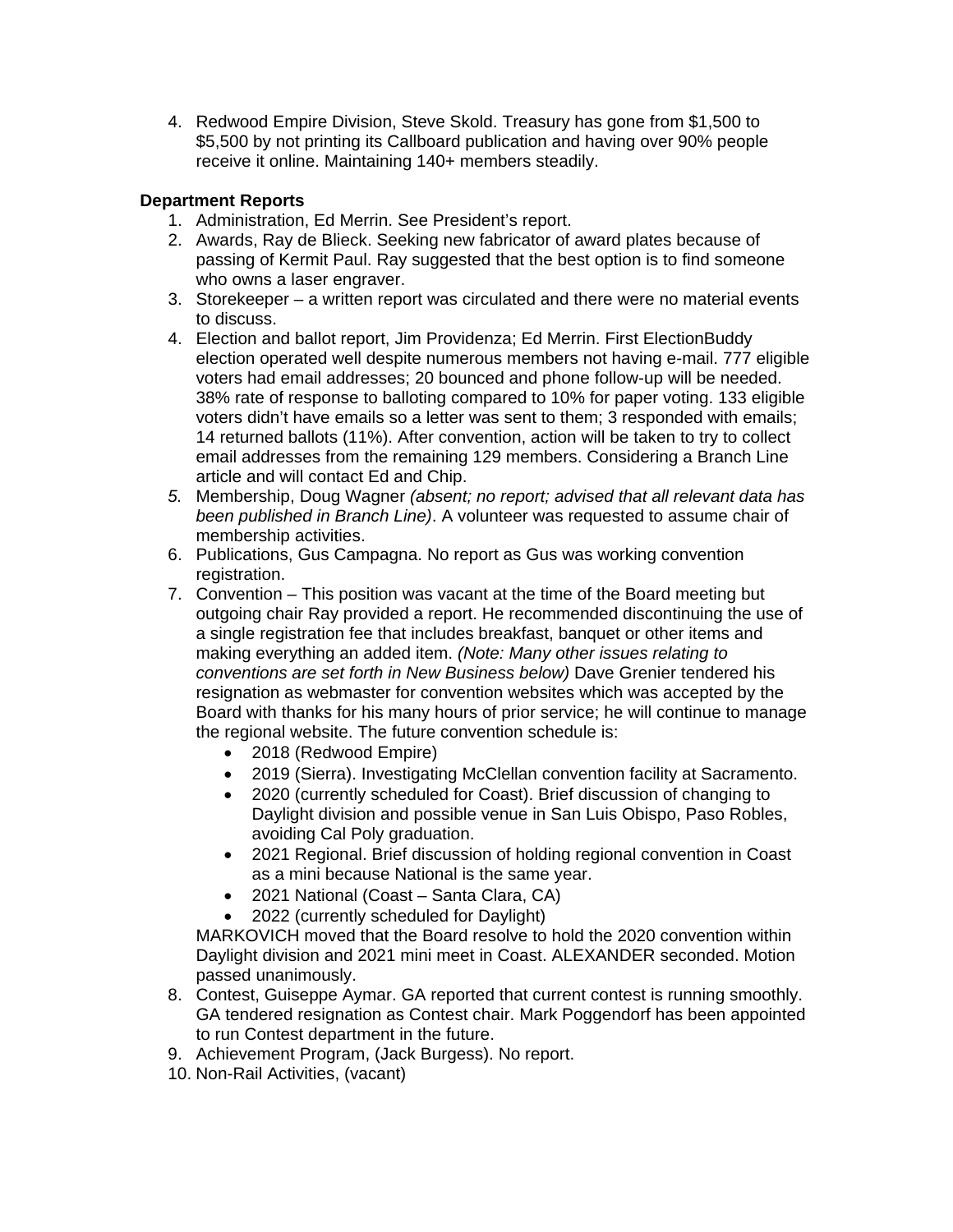4. Redwood Empire Division, Steve Skold. Treasury has gone from \$1,500 to \$5,500 by not printing its Callboard publication and having over 90% people receive it online. Maintaining 140+ members steadily.

# **Department Reports**

- 1. Administration, Ed Merrin. See President's report.
- 2. Awards, Ray de Blieck. Seeking new fabricator of award plates because of passing of Kermit Paul. Ray suggested that the best option is to find someone who owns a laser engraver.
- 3. Storekeeper a written report was circulated and there were no material events to discuss.
- 4. Election and ballot report, Jim Providenza; Ed Merrin. First ElectionBuddy election operated well despite numerous members not having e-mail. 777 eligible voters had email addresses; 20 bounced and phone follow-up will be needed. 38% rate of response to balloting compared to 10% for paper voting. 133 eligible voters didn't have emails so a letter was sent to them; 3 responded with emails; 14 returned ballots (11%). After convention, action will be taken to try to collect email addresses from the remaining 129 members. Considering a Branch Line article and will contact Ed and Chip.
- *5.* Membership, Doug Wagner *(absent; no report; advised that all relevant data has been published in Branch Line)*. A volunteer was requested to assume chair of membership activities.
- 6. Publications, Gus Campagna. No report as Gus was working convention registration.
- 7. Convention This position was vacant at the time of the Board meeting but outgoing chair Ray provided a report. He recommended discontinuing the use of a single registration fee that includes breakfast, banquet or other items and making everything an added item. *(Note: Many other issues relating to conventions are set forth in New Business below)* Dave Grenier tendered his resignation as webmaster for convention websites which was accepted by the Board with thanks for his many hours of prior service; he will continue to manage the regional website. The future convention schedule is:
	- 2018 (Redwood Empire)
	- 2019 (Sierra). Investigating McClellan convention facility at Sacramento.
	- 2020 (currently scheduled for Coast). Brief discussion of changing to Daylight division and possible venue in San Luis Obispo, Paso Robles, avoiding Cal Poly graduation.
	- 2021 Regional. Brief discussion of holding regional convention in Coast as a mini because National is the same year.
	- 2021 National (Coast Santa Clara, CA)
	- 2022 (currently scheduled for Daylight)

MARKOVICH moved that the Board resolve to hold the 2020 convention within Daylight division and 2021 mini meet in Coast. ALEXANDER seconded. Motion passed unanimously.

- 8. Contest, Guiseppe Aymar. GA reported that current contest is running smoothly. GA tendered resignation as Contest chair. Mark Poggendorf has been appointed to run Contest department in the future.
- 9. Achievement Program, (Jack Burgess). No report.
- 10. Non-Rail Activities, (vacant)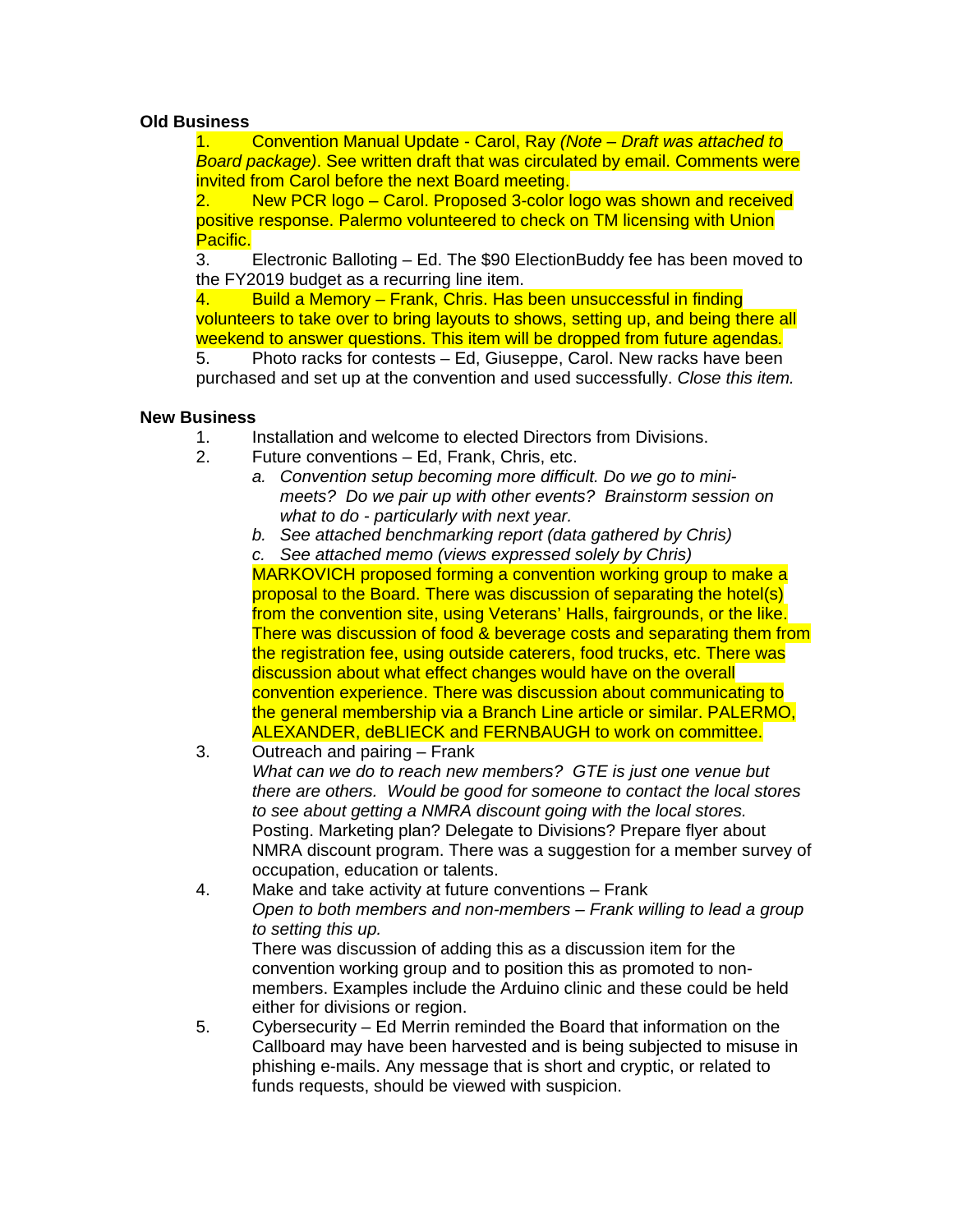## **Old Business**

1. Convention Manual Update - Carol, Ray *(Note – Draft was attached to Board package)*. See written draft that was circulated by email. Comments were invited from Carol before the next Board meeting.

2. New PCR logo – Carol. Proposed 3-color logo was shown and received positive response. Palermo volunteered to check on TM licensing with Union Pacific.

3. Electronic Balloting – Ed. The \$90 ElectionBuddy fee has been moved to the FY2019 budget as a recurring line item.

4. Build a Memory – Frank, Chris. Has been unsuccessful in finding volunteers to take over to bring layouts to shows, setting up, and being there all weekend to answer questions. This item will be dropped from future agendas*.*

5. Photo racks for contests – Ed, Giuseppe, Carol. New racks have been purchased and set up at the convention and used successfully. *Close this item.*

## **New Business**

- 1. Installation and welcome to elected Directors from Divisions.
- 2. Future conventions Ed, Frank, Chris, etc.
	- *a. Convention setup becoming more difficult. Do we go to minimeets? Do we pair up with other events? Brainstorm session on what to do - particularly with next year.*
	- *b. See attached benchmarking report (data gathered by Chris)*

*c. See attached memo (views expressed solely by Chris)* MARKOVICH proposed forming a convention working group to make a proposal to the Board. There was discussion of separating the hotel(s) from the convention site, using Veterans' Halls, fairgrounds, or the like. There was discussion of food & beverage costs and separating them from the registration fee, using outside caterers, food trucks, etc. There was discussion about what effect changes would have on the overall convention experience. There was discussion about communicating to the general membership via a Branch Line article or similar. PALERMO, ALEXANDER, deBLIECK and FERNBAUGH to work on committee.

- 3. Outreach and pairing Frank *What can we do to reach new members? GTE is just one venue but there are others. Would be good for someone to contact the local stores to see about getting a NMRA discount going with the local stores.* Posting. Marketing plan? Delegate to Divisions? Prepare flyer about NMRA discount program. There was a suggestion for a member survey of occupation, education or talents.
- 4. Make and take activity at future conventions Frank *Open to both members and non-members – Frank willing to lead a group to setting this up.* There was discussion of adding this as a discussion item for the convention working group and to position this as promoted to nonmembers. Examples include the Arduino clinic and these could be held either for divisions or region. 5. Cybersecurity – Ed Merrin reminded the Board that information on the
- Callboard may have been harvested and is being subjected to misuse in phishing e-mails. Any message that is short and cryptic, or related to funds requests, should be viewed with suspicion.